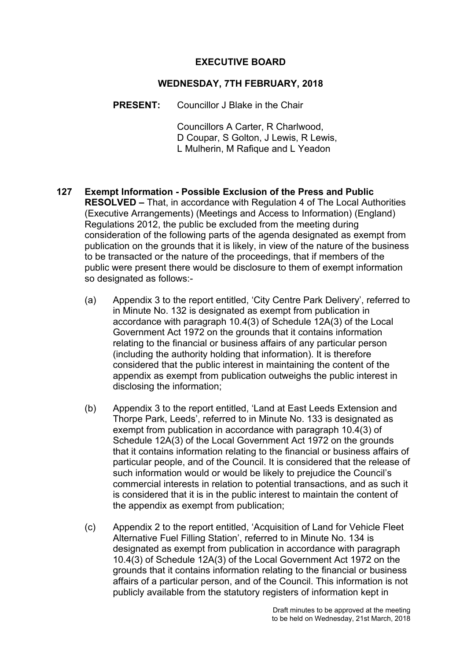## **EXECUTIVE BOARD**

### **WEDNESDAY, 7TH FEBRUARY, 2018**

**PRESENT:** Councillor J Blake in the Chair

Councillors A Carter, R Charlwood, D Coupar, S Golton, J Lewis, R Lewis, L Mulherin, M Rafique and L Yeadon

- **127 Exempt Information - Possible Exclusion of the Press and Public RESOLVED –** That, in accordance with Regulation 4 of The Local Authorities (Executive Arrangements) (Meetings and Access to Information) (England) Regulations 2012, the public be excluded from the meeting during consideration of the following parts of the agenda designated as exempt from publication on the grounds that it is likely, in view of the nature of the business to be transacted or the nature of the proceedings, that if members of the public were present there would be disclosure to them of exempt information so designated as follows:-
	- (a) Appendix 3 to the report entitled, 'City Centre Park Delivery', referred to in Minute No. 132 is designated as exempt from publication in accordance with paragraph 10.4(3) of Schedule 12A(3) of the Local Government Act 1972 on the grounds that it contains information relating to the financial or business affairs of any particular person (including the authority holding that information). It is therefore considered that the public interest in maintaining the content of the appendix as exempt from publication outweighs the public interest in disclosing the information;
	- (b) Appendix 3 to the report entitled, 'Land at East Leeds Extension and Thorpe Park, Leeds', referred to in Minute No. 133 is designated as exempt from publication in accordance with paragraph 10.4(3) of Schedule 12A(3) of the Local Government Act 1972 on the grounds that it contains information relating to the financial or business affairs of particular people, and of the Council. It is considered that the release of such information would or would be likely to prejudice the Council's commercial interests in relation to potential transactions, and as such it is considered that it is in the public interest to maintain the content of the appendix as exempt from publication;
	- (c) Appendix 2 to the report entitled, 'Acquisition of Land for Vehicle Fleet Alternative Fuel Filling Station', referred to in Minute No. 134 is designated as exempt from publication in accordance with paragraph 10.4(3) of Schedule 12A(3) of the Local Government Act 1972 on the grounds that it contains information relating to the financial or business affairs of a particular person, and of the Council. This information is not publicly available from the statutory registers of information kept in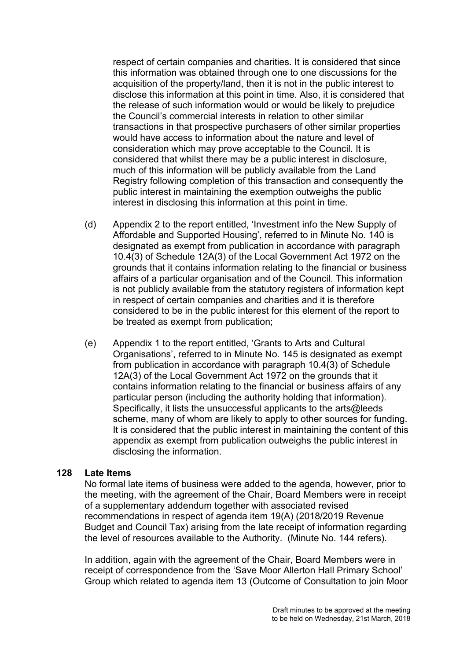respect of certain companies and charities. It is considered that since this information was obtained through one to one discussions for the acquisition of the property/land, then it is not in the public interest to disclose this information at this point in time. Also, it is considered that the release of such information would or would be likely to prejudice the Council's commercial interests in relation to other similar transactions in that prospective purchasers of other similar properties would have access to information about the nature and level of consideration which may prove acceptable to the Council. It is considered that whilst there may be a public interest in disclosure, much of this information will be publicly available from the Land Registry following completion of this transaction and consequently the public interest in maintaining the exemption outweighs the public interest in disclosing this information at this point in time.

- (d) Appendix 2 to the report entitled, 'Investment info the New Supply of Affordable and Supported Housing', referred to in Minute No. 140 is designated as exempt from publication in accordance with paragraph 10.4(3) of Schedule 12A(3) of the Local Government Act 1972 on the grounds that it contains information relating to the financial or business affairs of a particular organisation and of the Council. This information is not publicly available from the statutory registers of information kept in respect of certain companies and charities and it is therefore considered to be in the public interest for this element of the report to be treated as exempt from publication;
- (e) Appendix 1 to the report entitled, 'Grants to Arts and Cultural Organisations', referred to in Minute No. 145 is designated as exempt from publication in accordance with paragraph 10.4(3) of Schedule 12A(3) of the Local Government Act 1972 on the grounds that it contains information relating to the financial or business affairs of any particular person (including the authority holding that information). Specifically, it lists the unsuccessful applicants to the arts@leeds scheme, many of whom are likely to apply to other sources for funding. It is considered that the public interest in maintaining the content of this appendix as exempt from publication outweighs the public interest in disclosing the information.

#### **128 Late Items**

No formal late items of business were added to the agenda, however, prior to the meeting, with the agreement of the Chair, Board Members were in receipt of a supplementary addendum together with associated revised recommendations in respect of agenda item 19(A) (2018/2019 Revenue Budget and Council Tax) arising from the late receipt of information regarding the level of resources available to the Authority. (Minute No. 144 refers).

In addition, again with the agreement of the Chair, Board Members were in receipt of correspondence from the 'Save Moor Allerton Hall Primary School' Group which related to agenda item 13 (Outcome of Consultation to join Moor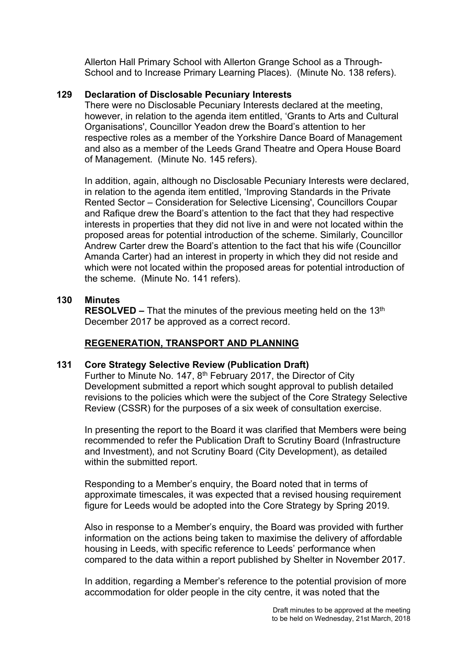Allerton Hall Primary School with Allerton Grange School as a Through-School and to Increase Primary Learning Places). (Minute No. 138 refers).

## **129 Declaration of Disclosable Pecuniary Interests**

There were no Disclosable Pecuniary Interests declared at the meeting, however, in relation to the agenda item entitled, 'Grants to Arts and Cultural Organisations', Councillor Yeadon drew the Board's attention to her respective roles as a member of the Yorkshire Dance Board of Management and also as a member of the Leeds Grand Theatre and Opera House Board of Management. (Minute No. 145 refers).

In addition, again, although no Disclosable Pecuniary Interests were declared, in relation to the agenda item entitled, 'Improving Standards in the Private Rented Sector – Consideration for Selective Licensing', Councillors Coupar and Rafique drew the Board's attention to the fact that they had respective interests in properties that they did not live in and were not located within the proposed areas for potential introduction of the scheme. Similarly, Councillor Andrew Carter drew the Board's attention to the fact that his wife (Councillor Amanda Carter) had an interest in property in which they did not reside and which were not located within the proposed areas for potential introduction of the scheme. (Minute No. 141 refers).

## **130 Minutes**

**RESOLVED** – That the minutes of the previous meeting held on the 13<sup>th</sup> December 2017 be approved as a correct record.

## **REGENERATION, TRANSPORT AND PLANNING**

## **131 Core Strategy Selective Review (Publication Draft)**

Further to Minute No. 147, 8<sup>th</sup> February 2017, the Director of City Development submitted a report which sought approval to publish detailed revisions to the policies which were the subject of the Core Strategy Selective Review (CSSR) for the purposes of a six week of consultation exercise.

In presenting the report to the Board it was clarified that Members were being recommended to refer the Publication Draft to Scrutiny Board (Infrastructure and Investment), and not Scrutiny Board (City Development), as detailed within the submitted report.

Responding to a Member's enquiry, the Board noted that in terms of approximate timescales, it was expected that a revised housing requirement figure for Leeds would be adopted into the Core Strategy by Spring 2019.

Also in response to a Member's enquiry, the Board was provided with further information on the actions being taken to maximise the delivery of affordable housing in Leeds, with specific reference to Leeds' performance when compared to the data within a report published by Shelter in November 2017.

In addition, regarding a Member's reference to the potential provision of more accommodation for older people in the city centre, it was noted that the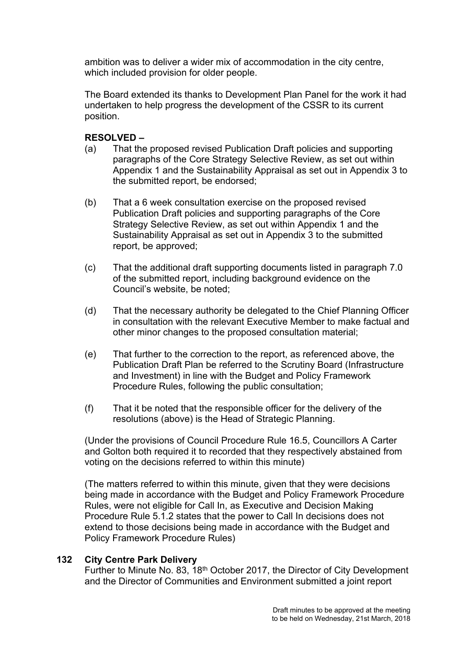ambition was to deliver a wider mix of accommodation in the city centre, which included provision for older people.

The Board extended its thanks to Development Plan Panel for the work it had undertaken to help progress the development of the CSSR to its current position.

# **RESOLVED –**

- (a) That the proposed revised Publication Draft policies and supporting paragraphs of the Core Strategy Selective Review, as set out within Appendix 1 and the Sustainability Appraisal as set out in Appendix 3 to the submitted report, be endorsed;
- (b) That a 6 week consultation exercise on the proposed revised Publication Draft policies and supporting paragraphs of the Core Strategy Selective Review, as set out within Appendix 1 and the Sustainability Appraisal as set out in Appendix 3 to the submitted report, be approved;
- (c) That the additional draft supporting documents listed in paragraph 7.0 of the submitted report, including background evidence on the Council's website, be noted;
- (d) That the necessary authority be delegated to the Chief Planning Officer in consultation with the relevant Executive Member to make factual and other minor changes to the proposed consultation material;
- (e) That further to the correction to the report, as referenced above, the Publication Draft Plan be referred to the Scrutiny Board (Infrastructure and Investment) in line with the Budget and Policy Framework Procedure Rules, following the public consultation;
- (f) That it be noted that the responsible officer for the delivery of the resolutions (above) is the Head of Strategic Planning.

(Under the provisions of Council Procedure Rule 16.5, Councillors A Carter and Golton both required it to recorded that they respectively abstained from voting on the decisions referred to within this minute)

(The matters referred to within this minute, given that they were decisions being made in accordance with the Budget and Policy Framework Procedure Rules, were not eligible for Call In, as Executive and Decision Making Procedure Rule 5.1.2 states that the power to Call In decisions does not extend to those decisions being made in accordance with the Budget and Policy Framework Procedure Rules)

## **132 City Centre Park Delivery**

Further to Minute No. 83, 18th October 2017, the Director of City Development and the Director of Communities and Environment submitted a joint report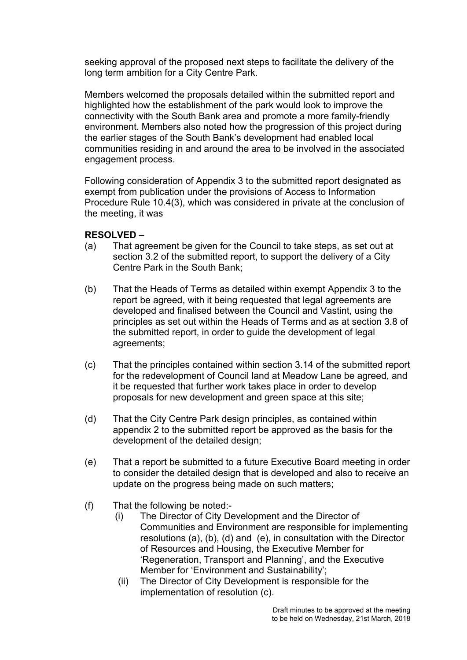seeking approval of the proposed next steps to facilitate the delivery of the long term ambition for a City Centre Park.

Members welcomed the proposals detailed within the submitted report and highlighted how the establishment of the park would look to improve the connectivity with the South Bank area and promote a more family-friendly environment. Members also noted how the progression of this project during the earlier stages of the South Bank's development had enabled local communities residing in and around the area to be involved in the associated engagement process.

Following consideration of Appendix 3 to the submitted report designated as exempt from publication under the provisions of Access to Information Procedure Rule 10.4(3), which was considered in private at the conclusion of the meeting, it was

- (a) That agreement be given for the Council to take steps, as set out at section 3.2 of the submitted report, to support the delivery of a City Centre Park in the South Bank;
- (b) That the Heads of Terms as detailed within exempt Appendix 3 to the report be agreed, with it being requested that legal agreements are developed and finalised between the Council and Vastint, using the principles as set out within the Heads of Terms and as at section 3.8 of the submitted report, in order to guide the development of legal agreements;
- (c) That the principles contained within section 3.14 of the submitted report for the redevelopment of Council land at Meadow Lane be agreed, and it be requested that further work takes place in order to develop proposals for new development and green space at this site;
- (d) That the City Centre Park design principles, as contained within appendix 2 to the submitted report be approved as the basis for the development of the detailed design;
- (e) That a report be submitted to a future Executive Board meeting in order to consider the detailed design that is developed and also to receive an update on the progress being made on such matters;
- (f) That the following be noted:-
	- (i) The Director of City Development and the Director of Communities and Environment are responsible for implementing resolutions (a), (b), (d) and (e), in consultation with the Director of Resources and Housing, the Executive Member for 'Regeneration, Transport and Planning', and the Executive Member for 'Environment and Sustainability';
	- (ii) The Director of City Development is responsible for the implementation of resolution (c).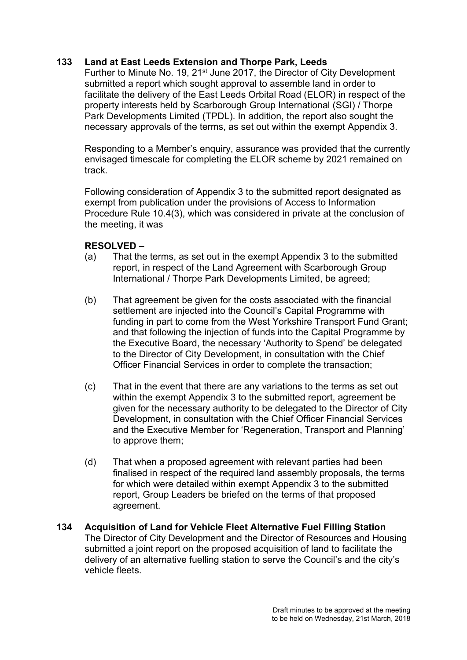# **133 Land at East Leeds Extension and Thorpe Park, Leeds**

Further to Minute No. 19, 21<sup>st</sup> June 2017, the Director of City Development submitted a report which sought approval to assemble land in order to facilitate the delivery of the East Leeds Orbital Road (ELOR) in respect of the property interests held by Scarborough Group International (SGI) / Thorpe Park Developments Limited (TPDL). In addition, the report also sought the necessary approvals of the terms, as set out within the exempt Appendix 3.

Responding to a Member's enquiry, assurance was provided that the currently envisaged timescale for completing the ELOR scheme by 2021 remained on track.

Following consideration of Appendix 3 to the submitted report designated as exempt from publication under the provisions of Access to Information Procedure Rule 10.4(3), which was considered in private at the conclusion of the meeting, it was

- (a) That the terms, as set out in the exempt Appendix 3 to the submitted report, in respect of the Land Agreement with Scarborough Group International / Thorpe Park Developments Limited, be agreed;
- (b) That agreement be given for the costs associated with the financial settlement are injected into the Council's Capital Programme with funding in part to come from the West Yorkshire Transport Fund Grant; and that following the injection of funds into the Capital Programme by the Executive Board, the necessary 'Authority to Spend' be delegated to the Director of City Development, in consultation with the Chief Officer Financial Services in order to complete the transaction;
- (c) That in the event that there are any variations to the terms as set out within the exempt Appendix 3 to the submitted report, agreement be given for the necessary authority to be delegated to the Director of City Development, in consultation with the Chief Officer Financial Services and the Executive Member for 'Regeneration, Transport and Planning' to approve them;
- (d) That when a proposed agreement with relevant parties had been finalised in respect of the required land assembly proposals, the terms for which were detailed within exempt Appendix 3 to the submitted report, Group Leaders be briefed on the terms of that proposed agreement.
- **134 Acquisition of Land for Vehicle Fleet Alternative Fuel Filling Station** The Director of City Development and the Director of Resources and Housing submitted a joint report on the proposed acquisition of land to facilitate the delivery of an alternative fuelling station to serve the Council's and the city's vehicle fleets.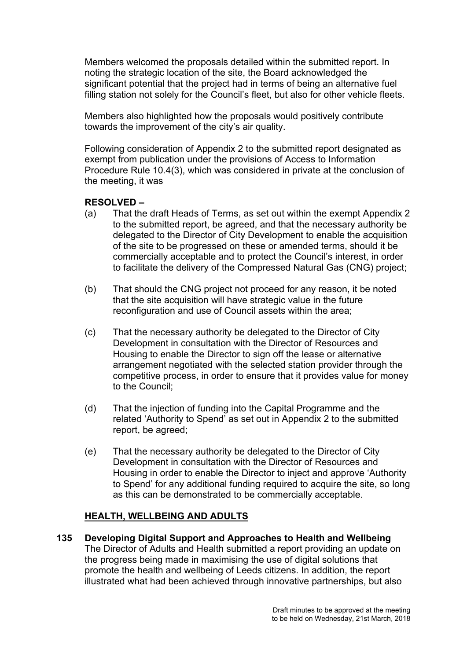Members welcomed the proposals detailed within the submitted report. In noting the strategic location of the site, the Board acknowledged the significant potential that the project had in terms of being an alternative fuel filling station not solely for the Council's fleet, but also for other vehicle fleets.

Members also highlighted how the proposals would positively contribute towards the improvement of the city's air quality.

Following consideration of Appendix 2 to the submitted report designated as exempt from publication under the provisions of Access to Information Procedure Rule 10.4(3), which was considered in private at the conclusion of the meeting, it was

## **RESOLVED –**

- (a) That the draft Heads of Terms, as set out within the exempt Appendix 2 to the submitted report, be agreed, and that the necessary authority be delegated to the Director of City Development to enable the acquisition of the site to be progressed on these or amended terms, should it be commercially acceptable and to protect the Council's interest, in order to facilitate the delivery of the Compressed Natural Gas (CNG) project;
- (b) That should the CNG project not proceed for any reason, it be noted that the site acquisition will have strategic value in the future reconfiguration and use of Council assets within the area;
- (c) That the necessary authority be delegated to the Director of City Development in consultation with the Director of Resources and Housing to enable the Director to sign off the lease or alternative arrangement negotiated with the selected station provider through the competitive process, in order to ensure that it provides value for money to the Council;
- (d) That the injection of funding into the Capital Programme and the related 'Authority to Spend' as set out in Appendix 2 to the submitted report, be agreed;
- (e) That the necessary authority be delegated to the Director of City Development in consultation with the Director of Resources and Housing in order to enable the Director to inject and approve 'Authority to Spend' for any additional funding required to acquire the site, so long as this can be demonstrated to be commercially acceptable.

## **HEALTH, WELLBEING AND ADULTS**

**135 Developing Digital Support and Approaches to Health and Wellbeing** The Director of Adults and Health submitted a report providing an update on the progress being made in maximising the use of digital solutions that promote the health and wellbeing of Leeds citizens. In addition, the report illustrated what had been achieved through innovative partnerships, but also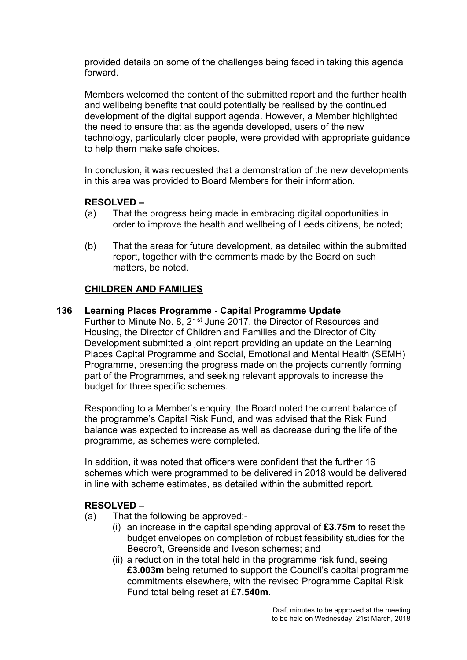provided details on some of the challenges being faced in taking this agenda forward.

Members welcomed the content of the submitted report and the further health and wellbeing benefits that could potentially be realised by the continued development of the digital support agenda. However, a Member highlighted the need to ensure that as the agenda developed, users of the new technology, particularly older people, were provided with appropriate guidance to help them make safe choices.

In conclusion, it was requested that a demonstration of the new developments in this area was provided to Board Members for their information.

## **RESOLVED –**

- (a) That the progress being made in embracing digital opportunities in order to improve the health and wellbeing of Leeds citizens, be noted;
- (b) That the areas for future development, as detailed within the submitted report, together with the comments made by the Board on such matters, be noted.

## **CHILDREN AND FAMILIES**

## **136 Learning Places Programme - Capital Programme Update**

Further to Minute No. 8, 21st June 2017, the Director of Resources and Housing, the Director of Children and Families and the Director of City Development submitted a joint report providing an update on the Learning Places Capital Programme and Social, Emotional and Mental Health (SEMH) Programme, presenting the progress made on the projects currently forming part of the Programmes, and seeking relevant approvals to increase the budget for three specific schemes.

Responding to a Member's enquiry, the Board noted the current balance of the programme's Capital Risk Fund, and was advised that the Risk Fund balance was expected to increase as well as decrease during the life of the programme, as schemes were completed.

In addition, it was noted that officers were confident that the further 16 schemes which were programmed to be delivered in 2018 would be delivered in line with scheme estimates, as detailed within the submitted report.

- (a) That the following be approved:-
	- (i) an increase in the capital spending approval of **£3.75m** to reset the budget envelopes on completion of robust feasibility studies for the Beecroft, Greenside and Iveson schemes; and
	- (ii) a reduction in the total held in the programme risk fund, seeing **£3.003m** being returned to support the Council's capital programme commitments elsewhere, with the revised Programme Capital Risk Fund total being reset at £**7.540m**.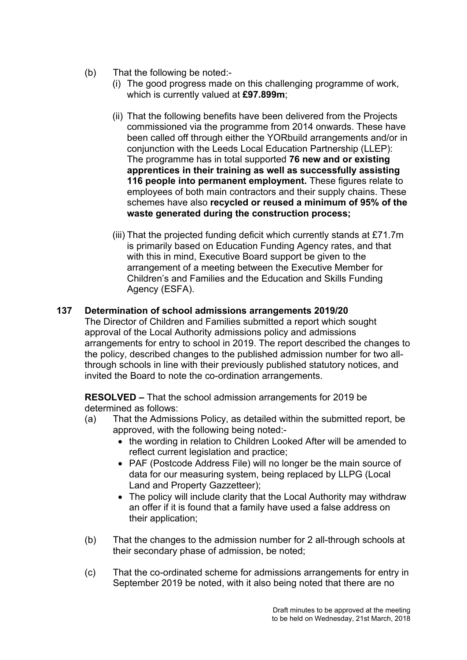- (b) That the following be noted:-
	- (i) The good progress made on this challenging programme of work, which is currently valued at **£97.899m**;
	- (ii) That the following benefits have been delivered from the Projects commissioned via the programme from 2014 onwards. These have been called off through either the YORbuild arrangements and/or in conjunction with the Leeds Local Education Partnership (LLEP): The programme has in total supported **76 new and or existing apprentices in their training as well as successfully assisting 116 people into permanent employment.** These figures relate to employees of both main contractors and their supply chains. These schemes have also **recycled or reused a minimum of 95% of the waste generated during the construction process;**
	- (iii) That the projected funding deficit which currently stands at £71.7m is primarily based on Education Funding Agency rates, and that with this in mind, Executive Board support be given to the arrangement of a meeting between the Executive Member for Children's and Families and the Education and Skills Funding Agency (ESFA).

# **137 Determination of school admissions arrangements 2019/20**

The Director of Children and Families submitted a report which sought approval of the Local Authority admissions policy and admissions arrangements for entry to school in 2019. The report described the changes to the policy, described changes to the published admission number for two allthrough schools in line with their previously published statutory notices, and invited the Board to note the co-ordination arrangements.

**RESOLVED –** That the school admission arrangements for 2019 be determined as follows:

- (a) That the Admissions Policy, as detailed within the submitted report, be approved, with the following being noted:-
	- the wording in relation to Children Looked After will be amended to reflect current legislation and practice;
	- PAF (Postcode Address File) will no longer be the main source of data for our measuring system, being replaced by LLPG (Local Land and Property Gazzetteer);
	- The policy will include clarity that the Local Authority may withdraw an offer if it is found that a family have used a false address on their application;
- (b) That the changes to the admission number for 2 all-through schools at their secondary phase of admission, be noted;
- (c) That the co-ordinated scheme for admissions arrangements for entry in September 2019 be noted, with it also being noted that there are no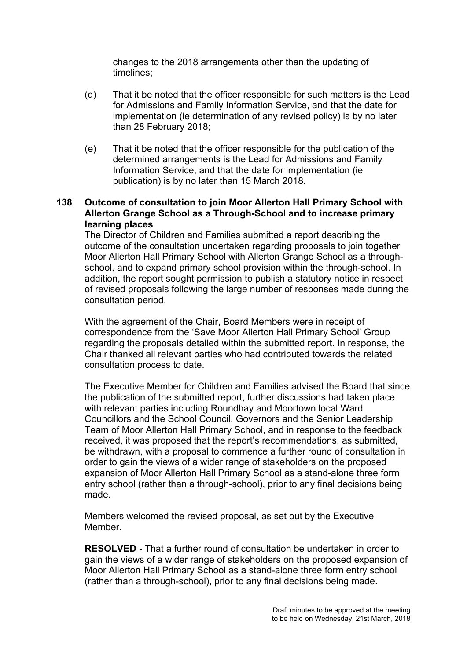changes to the 2018 arrangements other than the updating of timelines;

- (d) That it be noted that the officer responsible for such matters is the Lead for Admissions and Family Information Service, and that the date for implementation (ie determination of any revised policy) is by no later than 28 February 2018;
- (e) That it be noted that the officer responsible for the publication of the determined arrangements is the Lead for Admissions and Family Information Service, and that the date for implementation (ie publication) is by no later than 15 March 2018.

## **138 Outcome of consultation to join Moor Allerton Hall Primary School with Allerton Grange School as a Through-School and to increase primary learning places**

The Director of Children and Families submitted a report describing the outcome of the consultation undertaken regarding proposals to join together Moor Allerton Hall Primary School with Allerton Grange School as a throughschool, and to expand primary school provision within the through-school. In addition, the report sought permission to publish a statutory notice in respect of revised proposals following the large number of responses made during the consultation period.

With the agreement of the Chair, Board Members were in receipt of correspondence from the 'Save Moor Allerton Hall Primary School' Group regarding the proposals detailed within the submitted report. In response, the Chair thanked all relevant parties who had contributed towards the related consultation process to date.

The Executive Member for Children and Families advised the Board that since the publication of the submitted report, further discussions had taken place with relevant parties including Roundhay and Moortown local Ward Councillors and the School Council, Governors and the Senior Leadership Team of Moor Allerton Hall Primary School, and in response to the feedback received, it was proposed that the report's recommendations, as submitted, be withdrawn, with a proposal to commence a further round of consultation in order to gain the views of a wider range of stakeholders on the proposed expansion of Moor Allerton Hall Primary School as a stand-alone three form entry school (rather than a through-school), prior to any final decisions being made.

Members welcomed the revised proposal, as set out by the Executive Member.

**RESOLVED -** That a further round of consultation be undertaken in order to gain the views of a wider range of stakeholders on the proposed expansion of Moor Allerton Hall Primary School as a stand-alone three form entry school (rather than a through-school), prior to any final decisions being made.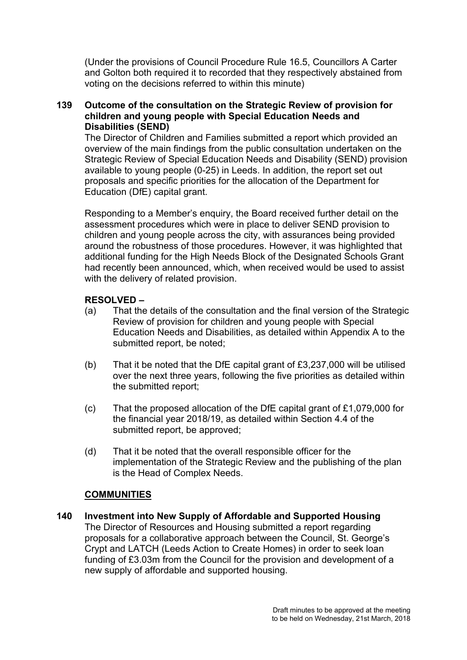(Under the provisions of Council Procedure Rule 16.5, Councillors A Carter and Golton both required it to recorded that they respectively abstained from voting on the decisions referred to within this minute)

## **139 Outcome of the consultation on the Strategic Review of provision for children and young people with Special Education Needs and Disabilities (SEND)**

The Director of Children and Families submitted a report which provided an overview of the main findings from the public consultation undertaken on the Strategic Review of Special Education Needs and Disability (SEND) provision available to young people (0-25) in Leeds. In addition, the report set out proposals and specific priorities for the allocation of the Department for Education (DfE) capital grant.

Responding to a Member's enquiry, the Board received further detail on the assessment procedures which were in place to deliver SEND provision to children and young people across the city, with assurances being provided around the robustness of those procedures. However, it was highlighted that additional funding for the High Needs Block of the Designated Schools Grant had recently been announced, which, when received would be used to assist with the delivery of related provision.

## **RESOLVED –**

- (a) That the details of the consultation and the final version of the Strategic Review of provision for children and young people with Special Education Needs and Disabilities, as detailed within Appendix A to the submitted report, be noted;
- (b) That it be noted that the DfE capital grant of £3,237,000 will be utilised over the next three years, following the five priorities as detailed within the submitted report;
- (c) That the proposed allocation of the DfE capital grant of £1,079,000 for the financial year 2018/19, as detailed within Section 4.4 of the submitted report, be approved;
- (d) That it be noted that the overall responsible officer for the implementation of the Strategic Review and the publishing of the plan is the Head of Complex Needs.

## **COMMUNITIES**

**140 Investment into New Supply of Affordable and Supported Housing** The Director of Resources and Housing submitted a report regarding proposals for a collaborative approach between the Council, St. George's Crypt and LATCH (Leeds Action to Create Homes) in order to seek loan funding of £3.03m from the Council for the provision and development of a new supply of affordable and supported housing.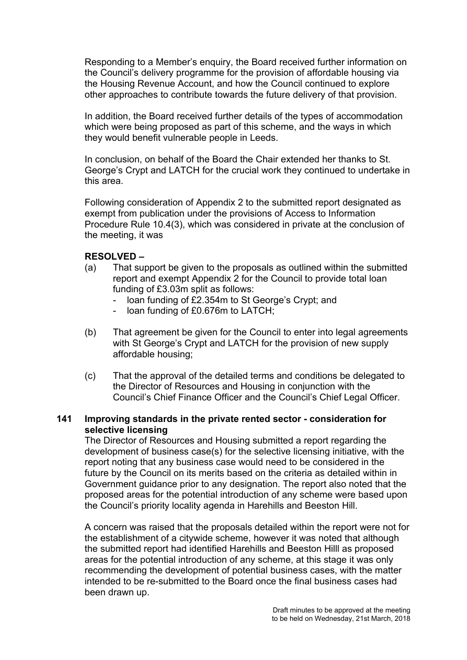Responding to a Member's enquiry, the Board received further information on the Council's delivery programme for the provision of affordable housing via the Housing Revenue Account, and how the Council continued to explore other approaches to contribute towards the future delivery of that provision.

In addition, the Board received further details of the types of accommodation which were being proposed as part of this scheme, and the ways in which they would benefit vulnerable people in Leeds.

In conclusion, on behalf of the Board the Chair extended her thanks to St. George's Crypt and LATCH for the crucial work they continued to undertake in this area.

Following consideration of Appendix 2 to the submitted report designated as exempt from publication under the provisions of Access to Information Procedure Rule 10.4(3), which was considered in private at the conclusion of the meeting, it was

## **RESOLVED –**

- (a) That support be given to the proposals as outlined within the submitted report and exempt Appendix 2 for the Council to provide total loan funding of £3.03m split as follows:
	- loan funding of £2.354m to St George's Crypt; and
	- loan funding of £0.676m to LATCH;
- (b) That agreement be given for the Council to enter into legal agreements with St George's Crypt and LATCH for the provision of new supply affordable housing;
- (c) That the approval of the detailed terms and conditions be delegated to the Director of Resources and Housing in conjunction with the Council's Chief Finance Officer and the Council's Chief Legal Officer.

## **141 Improving standards in the private rented sector - consideration for selective licensing**

The Director of Resources and Housing submitted a report regarding the development of business case(s) for the selective licensing initiative, with the report noting that any business case would need to be considered in the future by the Council on its merits based on the criteria as detailed within in Government guidance prior to any designation. The report also noted that the proposed areas for the potential introduction of any scheme were based upon the Council's priority locality agenda in Harehills and Beeston Hill.

A concern was raised that the proposals detailed within the report were not for the establishment of a citywide scheme, however it was noted that although the submitted report had identified Harehills and Beeston Hilll as proposed areas for the potential introduction of any scheme, at this stage it was only recommending the development of potential business cases, with the matter intended to be re-submitted to the Board once the final business cases had been drawn up.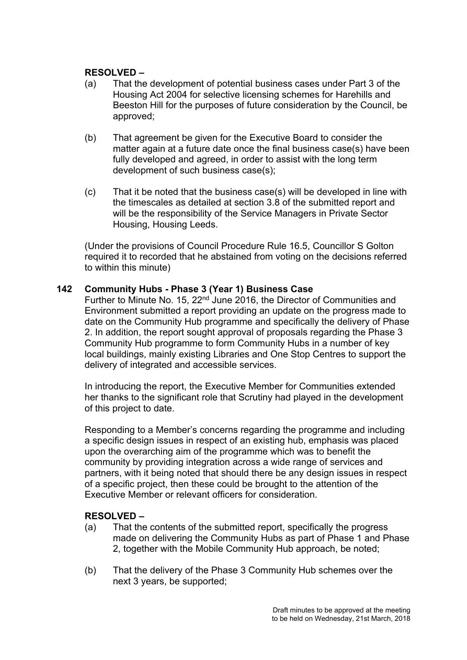## **RESOLVED –**

- (a) That the development of potential business cases under Part 3 of the Housing Act 2004 for selective licensing schemes for Harehills and Beeston Hill for the purposes of future consideration by the Council, be approved;
- (b) That agreement be given for the Executive Board to consider the matter again at a future date once the final business case(s) have been fully developed and agreed, in order to assist with the long term development of such business case(s);
- (c) That it be noted that the business case(s) will be developed in line with the timescales as detailed at section 3.8 of the submitted report and will be the responsibility of the Service Managers in Private Sector Housing, Housing Leeds.

(Under the provisions of Council Procedure Rule 16.5, Councillor S Golton required it to recorded that he abstained from voting on the decisions referred to within this minute)

#### **142 Community Hubs - Phase 3 (Year 1) Business Case**

Further to Minute No. 15, 22nd June 2016, the Director of Communities and Environment submitted a report providing an update on the progress made to date on the Community Hub programme and specifically the delivery of Phase 2. In addition, the report sought approval of proposals regarding the Phase 3 Community Hub programme to form Community Hubs in a number of key local buildings, mainly existing Libraries and One Stop Centres to support the delivery of integrated and accessible services.

In introducing the report, the Executive Member for Communities extended her thanks to the significant role that Scrutiny had played in the development of this project to date.

Responding to a Member's concerns regarding the programme and including a specific design issues in respect of an existing hub, emphasis was placed upon the overarching aim of the programme which was to benefit the community by providing integration across a wide range of services and partners, with it being noted that should there be any design issues in respect of a specific project, then these could be brought to the attention of the Executive Member or relevant officers for consideration.

- (a) That the contents of the submitted report, specifically the progress made on delivering the Community Hubs as part of Phase 1 and Phase 2, together with the Mobile Community Hub approach, be noted;
- (b) That the delivery of the Phase 3 Community Hub schemes over the next 3 years, be supported;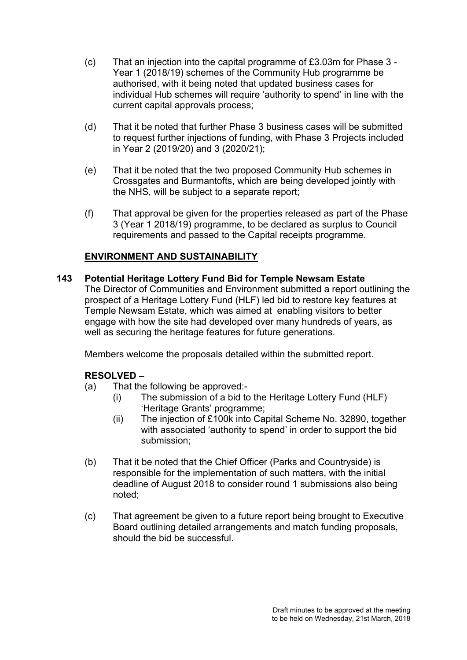- (c) That an injection into the capital programme of £3.03m for Phase 3 Year 1 (2018/19) schemes of the Community Hub programme be authorised, with it being noted that updated business cases for individual Hub schemes will require 'authority to spend' in line with the current capital approvals process;
- (d) That it be noted that further Phase 3 business cases will be submitted to request further injections of funding, with Phase 3 Projects included in Year 2 (2019/20) and 3 (2020/21);
- (e) That it be noted that the two proposed Community Hub schemes in Crossgates and Burmantofts, which are being developed jointly with the NHS, will be subject to a separate report;
- (f) That approval be given for the properties released as part of the Phase 3 (Year 1 2018/19) programme, to be declared as surplus to Council requirements and passed to the Capital receipts programme.

# **ENVIRONMENT AND SUSTAINABILITY**

**143 Potential Heritage Lottery Fund Bid for Temple Newsam Estate**

The Director of Communities and Environment submitted a report outlining the prospect of a Heritage Lottery Fund (HLF) led bid to restore key features at Temple Newsam Estate, which was aimed at enabling visitors to better engage with how the site had developed over many hundreds of years, as well as securing the heritage features for future generations.

Members welcome the proposals detailed within the submitted report.

- (a) That the following be approved:-
	- (i) The submission of a bid to the Heritage Lottery Fund (HLF) 'Heritage Grants' programme;
	- (ii) The injection of £100k into Capital Scheme No. 32890, together with associated 'authority to spend' in order to support the bid submission;
- (b) That it be noted that the Chief Officer (Parks and Countryside) is responsible for the implementation of such matters, with the initial deadline of August 2018 to consider round 1 submissions also being noted;
- (c) That agreement be given to a future report being brought to Executive Board outlining detailed arrangements and match funding proposals, should the bid be successful.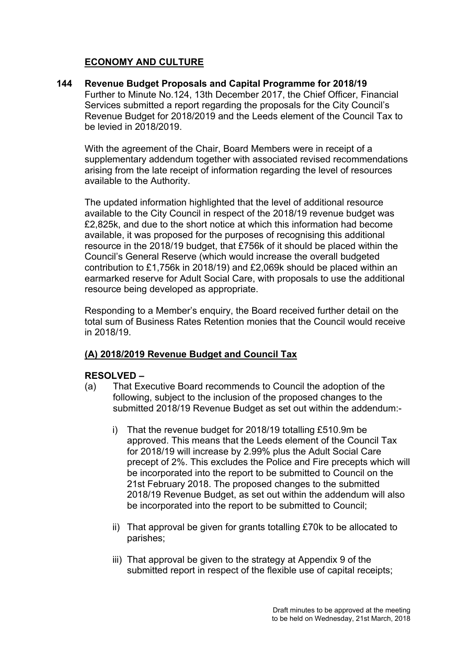# **ECONOMY AND CULTURE**

**144 Revenue Budget Proposals and Capital Programme for 2018/19** Further to Minute No.124, 13th December 2017, the Chief Officer, Financial Services submitted a report regarding the proposals for the City Council's Revenue Budget for 2018/2019 and the Leeds element of the Council Tax to be levied in 2018/2019.

With the agreement of the Chair, Board Members were in receipt of a supplementary addendum together with associated revised recommendations arising from the late receipt of information regarding the level of resources available to the Authority.

The updated information highlighted that the level of additional resource available to the City Council in respect of the 2018/19 revenue budget was £2,825k, and due to the short notice at which this information had become available, it was proposed for the purposes of recognising this additional resource in the 2018/19 budget, that £756k of it should be placed within the Council's General Reserve (which would increase the overall budgeted contribution to £1,756k in 2018/19) and £2,069k should be placed within an earmarked reserve for Adult Social Care, with proposals to use the additional resource being developed as appropriate.

Responding to a Member's enquiry, the Board received further detail on the total sum of Business Rates Retention monies that the Council would receive in 2018/19.

# **(A) 2018/2019 Revenue Budget and Council Tax**

- (a) That Executive Board recommends to Council the adoption of the following, subject to the inclusion of the proposed changes to the submitted 2018/19 Revenue Budget as set out within the addendum:
	- i) That the revenue budget for 2018/19 totalling £510.9m be approved. This means that the Leeds element of the Council Tax for 2018/19 will increase by 2.99% plus the Adult Social Care precept of 2%. This excludes the Police and Fire precepts which will be incorporated into the report to be submitted to Council on the 21st February 2018. The proposed changes to the submitted 2018/19 Revenue Budget, as set out within the addendum will also be incorporated into the report to be submitted to Council;
	- ii) That approval be given for grants totalling £70k to be allocated to parishes;
	- iii) That approval be given to the strategy at Appendix 9 of the submitted report in respect of the flexible use of capital receipts;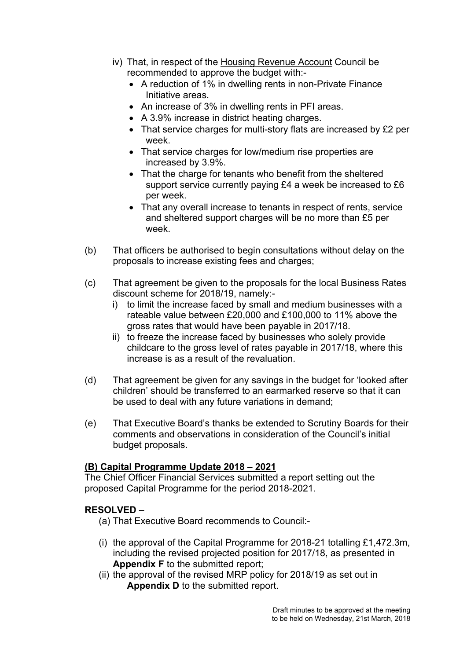- iv) That, in respect of the Housing Revenue Account Council be recommended to approve the budget with:-
	- A reduction of 1% in dwelling rents in non-Private Finance Initiative areas.
	- An increase of 3% in dwelling rents in PFI areas.
	- A 3.9% increase in district heating charges.
	- That service charges for multi-story flats are increased by £2 per week.
	- That service charges for low/medium rise properties are increased by 3.9%.
	- That the charge for tenants who benefit from the sheltered support service currently paying £4 a week be increased to £6 per week.
	- That any overall increase to tenants in respect of rents, service and sheltered support charges will be no more than £5 per week.
- (b) That officers be authorised to begin consultations without delay on the proposals to increase existing fees and charges;
- (c) That agreement be given to the proposals for the local Business Rates discount scheme for 2018/19, namely:
	- i) to limit the increase faced by small and medium businesses with a rateable value between £20,000 and £100,000 to 11% above the gross rates that would have been payable in 2017/18.
	- ii) to freeze the increase faced by businesses who solely provide childcare to the gross level of rates payable in 2017/18, where this increase is as a result of the revaluation.
- (d) That agreement be given for any savings in the budget for 'looked after children' should be transferred to an earmarked reserve so that it can be used to deal with any future variations in demand;
- (e) That Executive Board's thanks be extended to Scrutiny Boards for their comments and observations in consideration of the Council's initial budget proposals.

# **(B) Capital Programme Update 2018 – 2021**

The Chief Officer Financial Services submitted a report setting out the proposed Capital Programme for the period 2018-2021.

- (a) That Executive Board recommends to Council:-
- (i) the approval of the Capital Programme for 2018-21 totalling £1,472.3m, including the revised projected position for 2017/18, as presented in **Appendix F** to the submitted report;
- (ii) the approval of the revised MRP policy for 2018/19 as set out in **Appendix D** to the submitted report.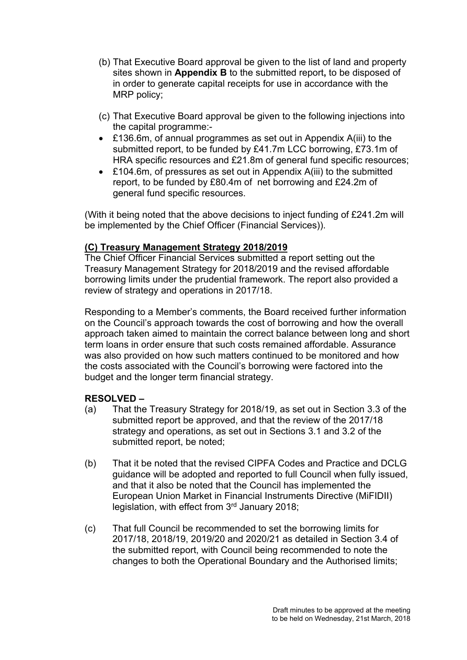- (b) That Executive Board approval be given to the list of land and property sites shown in **Appendix B** to the submitted report**,** to be disposed of in order to generate capital receipts for use in accordance with the MRP policy;
- (c) That Executive Board approval be given to the following injections into the capital programme:-
- £136.6m, of annual programmes as set out in Appendix A(iii) to the submitted report, to be funded by £41.7m LCC borrowing, £73.1m of HRA specific resources and £21.8m of general fund specific resources;
- £104.6m, of pressures as set out in Appendix A(iii) to the submitted report, to be funded by £80.4m of net borrowing and £24.2m of general fund specific resources.

(With it being noted that the above decisions to inject funding of £241.2m will be implemented by the Chief Officer (Financial Services)).

## **(C) Treasury Management Strategy 2018/2019**

The Chief Officer Financial Services submitted a report setting out the Treasury Management Strategy for 2018/2019 and the revised affordable borrowing limits under the prudential framework. The report also provided a review of strategy and operations in 2017/18.

Responding to a Member's comments, the Board received further information on the Council's approach towards the cost of borrowing and how the overall approach taken aimed to maintain the correct balance between long and short term loans in order ensure that such costs remained affordable. Assurance was also provided on how such matters continued to be monitored and how the costs associated with the Council's borrowing were factored into the budget and the longer term financial strategy.

- (a) That the Treasury Strategy for 2018/19, as set out in Section 3.3 of the submitted report be approved, and that the review of the 2017/18 strategy and operations, as set out in Sections 3.1 and 3.2 of the submitted report, be noted;
- (b) That it be noted that the revised CIPFA Codes and Practice and DCLG guidance will be adopted and reported to full Council when fully issued, and that it also be noted that the Council has implemented the European Union Market in Financial Instruments Directive (MiFIDII) legislation, with effect from 3<sup>rd</sup> January 2018;
- (c) That full Council be recommended to set the borrowing limits for 2017/18, 2018/19, 2019/20 and 2020/21 as detailed in Section 3.4 of the submitted report, with Council being recommended to note the changes to both the Operational Boundary and the Authorised limits;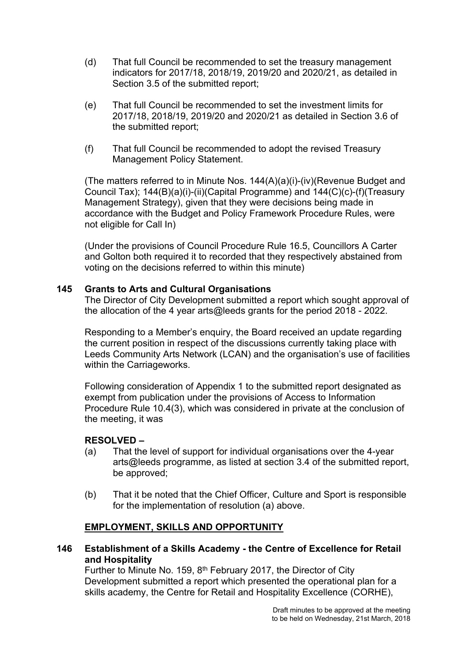- (d) That full Council be recommended to set the treasury management indicators for 2017/18, 2018/19, 2019/20 and 2020/21, as detailed in Section 3.5 of the submitted report:
- (e) That full Council be recommended to set the investment limits for 2017/18, 2018/19, 2019/20 and 2020/21 as detailed in Section 3.6 of the submitted report;
- (f) That full Council be recommended to adopt the revised Treasury Management Policy Statement.

(The matters referred to in Minute Nos. 144(A)(a)(i)-(iv)(Revenue Budget and Council Tax); 144(B)(a)(i)-(ii)(Capital Programme) and 144(C)(c)-(f)(Treasury Management Strategy), given that they were decisions being made in accordance with the Budget and Policy Framework Procedure Rules, were not eligible for Call In)

(Under the provisions of Council Procedure Rule 16.5, Councillors A Carter and Golton both required it to recorded that they respectively abstained from voting on the decisions referred to within this minute)

## **145 Grants to Arts and Cultural Organisations**

The Director of City Development submitted a report which sought approval of the allocation of the 4 year arts@leeds grants for the period 2018 - 2022.

Responding to a Member's enquiry, the Board received an update regarding the current position in respect of the discussions currently taking place with Leeds Community Arts Network (LCAN) and the organisation's use of facilities within the Carriageworks.

Following consideration of Appendix 1 to the submitted report designated as exempt from publication under the provisions of Access to Information Procedure Rule 10.4(3), which was considered in private at the conclusion of the meeting, it was

## **RESOLVED –**

- (a) That the level of support for individual organisations over the 4-year arts@leeds programme, as listed at section 3.4 of the submitted report, be approved;
- (b) That it be noted that the Chief Officer, Culture and Sport is responsible for the implementation of resolution (a) above.

## **EMPLOYMENT, SKILLS AND OPPORTUNITY**

**146 Establishment of a Skills Academy - the Centre of Excellence for Retail and Hospitality**

Further to Minute No. 159, 8<sup>th</sup> February 2017, the Director of City Development submitted a report which presented the operational plan for a skills academy, the Centre for Retail and Hospitality Excellence (CORHE),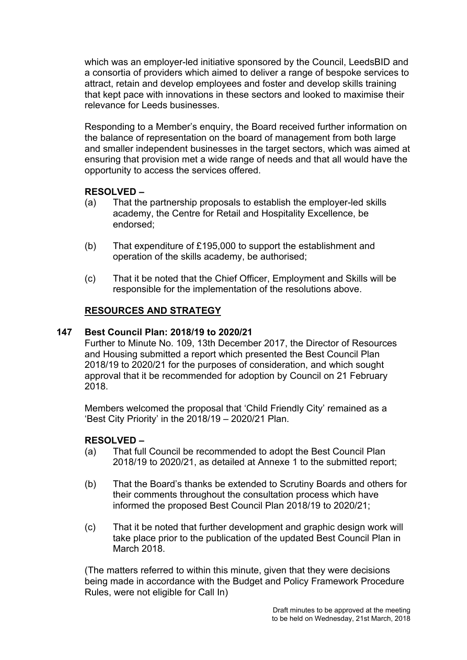which was an employer-led initiative sponsored by the Council, LeedsBID and a consortia of providers which aimed to deliver a range of bespoke services to attract, retain and develop employees and foster and develop skills training that kept pace with innovations in these sectors and looked to maximise their relevance for Leeds businesses.

Responding to a Member's enquiry, the Board received further information on the balance of representation on the board of management from both large and smaller independent businesses in the target sectors, which was aimed at ensuring that provision met a wide range of needs and that all would have the opportunity to access the services offered.

## **RESOLVED –**

- (a) That the partnership proposals to establish the employer-led skills academy, the Centre for Retail and Hospitality Excellence, be endorsed;
- (b) That expenditure of £195,000 to support the establishment and operation of the skills academy, be authorised;
- (c) That it be noted that the Chief Officer, Employment and Skills will be responsible for the implementation of the resolutions above.

# **RESOURCES AND STRATEGY**

## **147 Best Council Plan: 2018/19 to 2020/21**

Further to Minute No. 109, 13th December 2017, the Director of Resources and Housing submitted a report which presented the Best Council Plan 2018/19 to 2020/21 for the purposes of consideration, and which sought approval that it be recommended for adoption by Council on 21 February 2018.

Members welcomed the proposal that 'Child Friendly City' remained as a 'Best City Priority' in the 2018/19 – 2020/21 Plan.

## **RESOLVED –**

- (a) That full Council be recommended to adopt the Best Council Plan 2018/19 to 2020/21, as detailed at Annexe 1 to the submitted report;
- (b) That the Board's thanks be extended to Scrutiny Boards and others for their comments throughout the consultation process which have informed the proposed Best Council Plan 2018/19 to 2020/21;
- (c) That it be noted that further development and graphic design work will take place prior to the publication of the updated Best Council Plan in March 2018.

(The matters referred to within this minute, given that they were decisions being made in accordance with the Budget and Policy Framework Procedure Rules, were not eligible for Call In)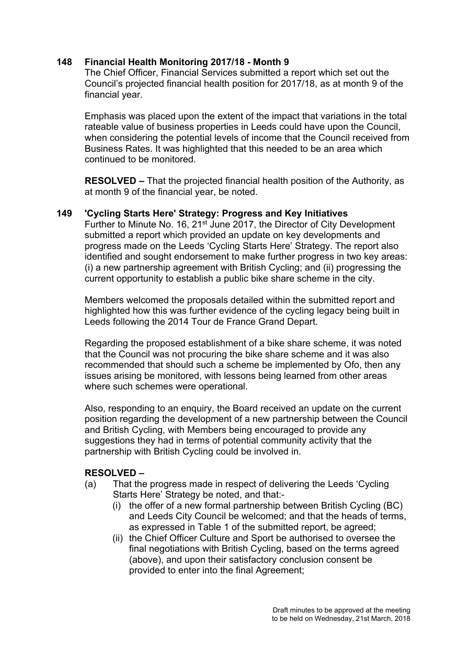## **148 Financial Health Monitoring 2017/18 - Month 9**

The Chief Officer, Financial Services submitted a report which set out the Council's projected financial health position for 2017/18, as at month 9 of the financial year.

Emphasis was placed upon the extent of the impact that variations in the total rateable value of business properties in Leeds could have upon the Council, when considering the potential levels of income that the Council received from Business Rates. It was highlighted that this needed to be an area which continued to be monitored.

**RESOLVED –** That the projected financial health position of the Authority, as at month 9 of the financial year, be noted.

#### **149 'Cycling Starts Here' Strategy: Progress and Key Initiatives**

Further to Minute No. 16, 21<sup>st</sup> June 2017, the Director of City Development submitted a report which provided an update on key developments and progress made on the Leeds 'Cycling Starts Here' Strategy. The report also identified and sought endorsement to make further progress in two key areas: (i) a new partnership agreement with British Cycling; and (ii) progressing the current opportunity to establish a public bike share scheme in the city.

Members welcomed the proposals detailed within the submitted report and highlighted how this was further evidence of the cycling legacy being built in Leeds following the 2014 Tour de France Grand Depart.

Regarding the proposed establishment of a bike share scheme, it was noted that the Council was not procuring the bike share scheme and it was also recommended that should such a scheme be implemented by Ofo, then any issues arising be monitored, with lessons being learned from other areas where such schemes were operational.

Also, responding to an enquiry, the Board received an update on the current position regarding the development of a new partnership between the Council and British Cycling, with Members being encouraged to provide any suggestions they had in terms of potential community activity that the partnership with British Cycling could be involved in.

- (a) That the progress made in respect of delivering the Leeds 'Cycling Starts Here' Strategy be noted, and that:-
	- (i) the offer of a new formal partnership between British Cycling (BC) and Leeds City Council be welcomed; and that the heads of terms, as expressed in Table 1 of the submitted report, be agreed;
	- (ii) the Chief Officer Culture and Sport be authorised to oversee the final negotiations with British Cycling, based on the terms agreed (above), and upon their satisfactory conclusion consent be provided to enter into the final Agreement;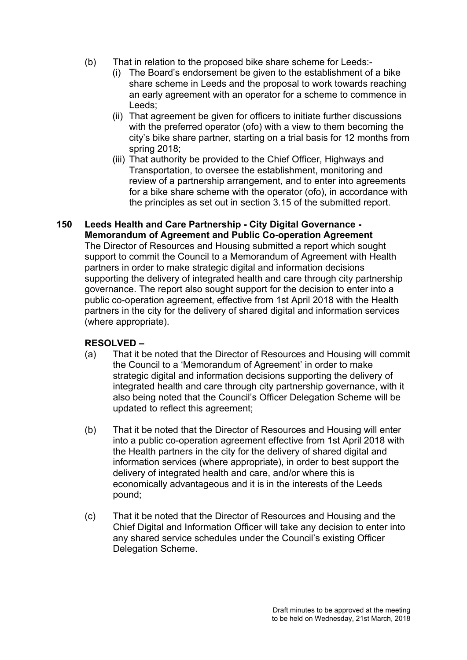- (b) That in relation to the proposed bike share scheme for Leeds:-
	- (i) The Board's endorsement be given to the establishment of a bike share scheme in Leeds and the proposal to work towards reaching an early agreement with an operator for a scheme to commence in Leeds;
	- (ii) That agreement be given for officers to initiate further discussions with the preferred operator (ofo) with a view to them becoming the city's bike share partner, starting on a trial basis for 12 months from spring 2018;
	- (iii) That authority be provided to the Chief Officer, Highways and Transportation, to oversee the establishment, monitoring and review of a partnership arrangement, and to enter into agreements for a bike share scheme with the operator (ofo), in accordance with the principles as set out in section 3.15 of the submitted report.

#### **150 Leeds Health and Care Partnership - City Digital Governance - Memorandum of Agreement and Public Co-operation Agreement** The Director of Resources and Housing submitted a report which sought support to commit the Council to a Memorandum of Agreement with Health partners in order to make strategic digital and information decisions supporting the delivery of integrated health and care through city partnership governance. The report also sought support for the decision to enter into a public co-operation agreement, effective from 1st April 2018 with the Health partners in the city for the delivery of shared digital and information services (where appropriate).

- (a) That it be noted that the Director of Resources and Housing will commit the Council to a 'Memorandum of Agreement' in order to make strategic digital and information decisions supporting the delivery of integrated health and care through city partnership governance, with it also being noted that the Council's Officer Delegation Scheme will be updated to reflect this agreement;
- (b) That it be noted that the Director of Resources and Housing will enter into a public co-operation agreement effective from 1st April 2018 with the Health partners in the city for the delivery of shared digital and information services (where appropriate), in order to best support the delivery of integrated health and care, and/or where this is economically advantageous and it is in the interests of the Leeds pound;
- (c) That it be noted that the Director of Resources and Housing and the Chief Digital and Information Officer will take any decision to enter into any shared service schedules under the Council's existing Officer Delegation Scheme.